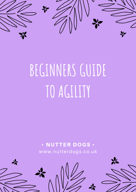

# **BEGINNERSGUIDE TO AGILITY**

## • NUTTER DOGS • www.nutterdogs .co.uk

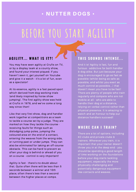#### **T H I S S O U N D S I N T E N S E . . .**

And it is! Agility is fast, fun and furious - addictive for both handler & dog alike. But just because your dog is encouraged to go as fast as possible (whilst being as safe as possible, and whilst you exert as much control as possible...) that doesn't mean *you* have to be fast! There are plenty of people who train regularly and compete who are not mobile at all - who are able to handle their dog at a distance, relying on verbal control rather than physical presence. It is amazing to watch and an honour to help our distance handlers succeed!

### **A G I L I T Y . . . WH A T I S I T ? !**

You may have seen agility at Crufts on TV, or by a display team at a county show, and found your interest piqued. If you haven't seen it, get yourself on Youtube and give it a watch - it's a lot of fun, even as a spectator!

At its essence, agility is a fast paced sport which derived from dog working trials (and likely inspired by horse show jumping). The first agility show was held at Crufts in 1978, and we've come a long way since then!

Like that very first show, dog and handler work together at competitions as a team to tackle a course set by a judge. They are *marked* on how they tackle the course receiving *faults* for things such as dislodging jump poles, jumping the coloured area on the end of a contact, entering the weaves from the wrong side, or running past or under jumps. They can also be *eliminated* for taking an off-course obstacle. This can be hard to prevent as often your dog is behind or ahead of you on a course - control is very important!

Agility is fast - there's no doubt about that. Quite often there will be less than 5 seconds between a winner and 10th place; often there's less than a second between the higher places at comps.

## **BEFORE YOU START AGILITY**

#### **WH E R E C A N I T R A I N ?**

There are a lot of options, including KC clubs and private clubs & trainers. Wherever you train, it is important that your trainer doesn't throw you in at the deep end - you should be spending a good length of time working on the *foundations* before your dog starts tackling equipment, especially the more physically challenging and potentially dangerous equipment like contacts and weaves.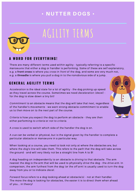## **A WO R D F O R E V E R Y T H I N G !**

There are many different terms used within agility - typically referring to a specific manoeuvre that either a dog or handler is performing. Some of these are self explanatory, e.g. a **front cross** is where you *cross* in *front* of the dog, and some are very much not, e.g. a **threadle** is where you pull a dog in to the nonobvious side of a jump.

## **AGILITY TERMS**

## **G E N E R A L A G I L I T Y T E R M S**

*Acceleration* is the ideal state for a lot of agility - the dog picking up speed as they travel across the course. Sometimes we need *deceleration (decel)* for the dog to slow down a tiny bit!



*Commitment* to an obstacle means that the dog will take that next, regardless of the handler's movements - we want strong obstacle commitment to enable us to then move on to the next part of the course.

*Criteria* is how you expect the dog to perform an obstacle - they are then either performing *to criteria* or *not to criteria*.

A *cross* is used to switch which side of the handler the dog is on.

A *cue* can be verbal or physical, but is the signal given by the handler to complete a particular obstacle or manoeuvre in a particular way.

When looking at a course, you need to look not only at where the obstacles are, but where the *dog's line* will take them. This refers to the path that the dog will take across the ground - and will very likely *not* be a straight line from A to B!

A dog heading on independently to an obstacle is *driving* to that obstacle. The arm nearest the dog is the arm that will be used to physically *drive* the dog - the *drive arm*. In comparison, the arm furthest from the dog (or the *off arm*) is usually used to *turn* the dog away from you or to indicate *decel*.

*Forward focus* refers to a dog looking ahead at obstacle(s) - not at their handler. The more the dog is looking for obstacles, the easier it is to direct them when ahead of you... in theory!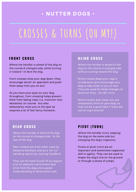### **B L I N D C R O S S**

*Where the handler is ahead of the dog on the course & changes side, without turning toward the dog.*

Blind crosses keep your dog in *acceleration* and encourage your dog to stay close to you on exit. They are used for small changes of direction only - not 90° turns.

Blind crosses also mean you are temporarily *blind* to your dog, so may not be a good idea if there are lots of *traps* around!

#### **F R O N T C R O S S**

*Where the handler is ahead of the dog on the course & changes side, while turning in toward / to face the dog.*

Front crosses slow your dog down (they encourage *decel*) on approach and push them away from you on exit.

As you have your eyes on your dog throughout, front crossing helps prevent them from taking *traps* (i.e. incorrect next obstacles) on course - but also temporarily roots you to the spot as requires a lot of fast fancy footwork.

## **CROSSES & TURNS (OH MY!)**

## **P I V O T ( T U R N )**

*Where the handler turns, keeping the dog on the same side but changing the dog's trajectory.*

Pivots or pivot turns are an important and sometimes neglected skill in agility. They can be used to shape the *dog's line* on the ground or through a series of jumps.

### **R E A R C R O S S**

*Where the handler is behind the dog on the course & changes side - to the rear of the dog.*

Rear crosses are most often used by distance handlers, and as a "oh no" handling option by running handlers!

They can be hard to pull off as require a lot of obstacle *commitment* and *drive* from the dog and a good understanding of directional cues.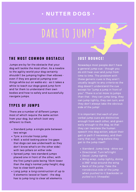#### **J U S T B O U N C E !**

Nowadays most people don't have a general jump cue - though you do still hear *over* and *jump* from time to time. The problem with these generic cues is they aren't usually taught to any *criteria* so the dog doesn't understand the cue except for "jump a jump in front of you". There is a lot more to jumps than that - they can jump long, they can jump tightly, they can turn; and

they don't always take the obvious side of the jump!

It is important that each of your verbal jump cues are distinctive enough from each other, and given early enough to the dog, so that they can translate the human speech into dog action, adjust their gait or path if necessary, and then carry that out - long before they get to the jump itself!

## **T H E M O S T C O M M O N O B S T A C L E**

- Standard jump: a single pole between two wings
- Tyre: a circular hoop jump
- Wall: a solid looking piece (no gaps that dogs can see underneath so they don't know what's on the other side) with two pillars on either side
- Spread jump: two standard jumps placed one in front of the other, with the first jump's pole being 10cm lower than the dog's normal jump height; dog has to clear both poles.
- Long jump: a *long* construction of up to 5 elements (wood or foam) - the dog has to jump *long* to clear all elements.

Jumps are by far the obstacle that your dog will tackle the most often. As a newbie to the agility world your dog certainly shouldn't be jumping higher than elbows even if they are good at jumping over things while out on walks etc - as it takes a while to teach our dogs good *jump form* and for them to understand their own bodies and how to safely and successfully navigate jumps.

- Standard: Jump long drive out
- Directional: Turn left/right
- Decel: Jump tightly
- Wing wrap: Jump tightly, doing a 360° *wrap* around the wing
- Back of the jump: Take the nonobvious side of the jump when *pushed* to it (backside) or *pulled* to it (threadle)

**DARE TO JUMP?**

## **T Y P E S O F J U M P S**

There are a number of different jumps most of which require the same action from your dog, but which *look* very different to them.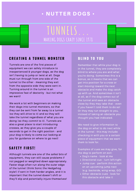**TUNNELS...**

**MAKING DOGS CRAZY SINCE 1978**

#### **B L I N D T O Y O U**

- Dog's name look at me
- Directional cue turn left/right
- Jump cue perform this action on an upcoming jump next (e.g. backside, wing wrap, GO)
- Other obstacle cues look for this obstacle and take it

Remember that while your dog is in the tunnel, they are completely blind to where you are and what you're doing. Sometimes this is a bonus, as it means that we can get into position for a cross or start moving toward the next obstacle and make the dog catch up with us. And sometimes it isn't at all, as if the dog comes out of the tunnel and sees an obstacle

We need to give information to the dog on what to do next *while* in the tunnel - this may include checking in with you or a certain piece of equipment that we want them to look for.

close by they may take that - even if you haven't told them to do so! Or they may run straight to you, instead of taking an obstacle you *thought* you had indicated.

Examples of cues we may give, for the dog to perform on exit:

## • NUTTER DOGS •

#### **S A F E T Y F I R S T !**

We work a lot with beginners on making their dogs into tunnel monsters, so that they can be sent from far away to a tunnel (so they will *drive* to it) and so they will take the tunnel regardless of what you are doing (so they *commit* to it). Tunnels are also a great place to start introducing crosses, as they give you a couple of seconds to get in the right position - and your dog is likely to come out looking at you for guidance on where to go next!

Although tunnels are one of the *safest* bits of equipment, they can still cause problems if not pegged or weighted down appropriately. Faster dogs often run along the outer edge of the tunnel (think Sonic the Hedgehog style!) if sent in from harder angles, and it is important that the tunnel doesn't shift or they'll slip and potentially injure themselves!

## **C R E A T I N G A T U N N E L M O N S T E R**

Tunnels are one of the first pieces of equipment we can safely introduce to inexperienced & younger dogs, as the dog isn't having to jump or twist at all. Dogs must run through from one side of the tunnel to the other - meaning they exit from the opposite side they were sent in. Turning around in the tunnel is an impressive feat of dexterity - but not what we want!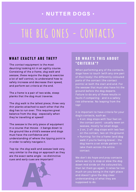## **THE BIG ONES - CONTACTS**

### **S O WH A T ' S T H I S A B O U T " C R I T E R I A " ?**

- 4 on: dog stops with four feet on the contact point - usually seen on seesaw, mostly for small dogs.
- 2 on, 2 off: dog stops with two feet on the contact, two on the ground.
- Running: for the a frame (and dog walk if you're feeling brave) - the dog learns a set stride pattern to take them across the entire contact.

When performing any of the contacts, dogs have to touch (with any one part of their body) the differently coloured parts of the contact (the contact points) at both the start and end. For the seesaw that must also have hit the ground before the dog departs. Failure to do any of these results in *faults* if competing - and is a safety risk otherwise. No leaping from the top!

It is important to have *criteria* for your dog's contacts, such as:

We don't do *hope and pray* contacts where we try to stop or slow the dog down mid stride on the coloured bit, then let them go again. It relies far too much on you being in the right place and doesn't give the dog clear understanding of what they are supposed to do.

## • NUTTER DOGS •

#### **WH A T E X A C T L Y A R E T H E Y ?**

The *contact* equipment is the most daunting looking kit in an agility course. Consisting of the *a-frame*, *dog walk* and *seesaw*, these require the dogs to exercise a lot of self control, to understand how to safely increase and decrease their speed, and perform set *criteria* at the end.

The *a frame* is a pair of two wide, steep planks that the dog must traverse.

The *dog walk* is the tallest piece; three very thin planks attached to each other that the dog has to run over. This requires great balance from the dog - especially when they're travelling at speed!

The *seesaw* is the only piece of equipment in a course that moves - it bangs down to the ground like a child's seesaw and dogs must have the confidence and understanding of where the *tipping point* is in order to safely navigate it.

Top tip: the *dog walk* and *seesaw* look very, very similar to the dog on approach as they are the exact same angle - so distinctive cues and *early* cues are important!

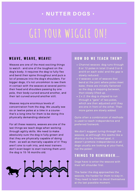## **GET YOUR WIGGLE ON!**

### **H OW D O WE T E A C H T H E M ?**

- Channel weaves: dog runs through 6 or 12 poles in total (3 and 3 or 6 and 6 on each side) and the gap is slowly reduced.
- V weaves: a set of weaves that bend at the joint where poles meet base; these are initially flattened so the dog is stepping between, then slowly lifted up.
- 2 x 2: the dog is *shaped* to run through a "gate" of two poles,

which are then adjusted until they are one in front of the other. Then more gates are slowly added.

Quite often a combination of methods is used to teach independence and preferred footwork.

We don't suggest *luring* through the weaves, as although this seems like a shortcut to the finished goal, it doesn't promote independence at all dogs usually are looking at your hand, not the poles!

## • NUTTER DOGS •

### **WE A V E , WE A V E , WE A V E !**

Weaves are one of the most exciting things to watch - and one of the toughest on the dog's body. It requires the dog to fully flex and bend their spine throughout and puts a lot of pressure into the dog's shoulders. For bigger dogs, it's not uncommon to see them in contact with the weaves at several points their head and shoulders passing by one pole, their body curved around another, and their tail curved around another still.

Weaves require enormous levels of concentration from the dog. We usually see six or twelve poles at a time in a course that's a long time for them to be doing this physically demanding obstacle!

For all these reasons, weaves are one of the last things we teach dogs when working through agility skills. We need to make absolutely sure the dog is fully grown and that they are physically capable of doing them - as well as mentally capable of it! They aren't one to rush into, and most trainers don't even begin to start training them until the dog is 15-16 months old.



#### **T H I N G S T O R E M E M B E R . . .**

Dogs have to enter the weaves with their left shoulder first.

The faster the dog approaches the weaves, the harder for them to stay in. They need to learn to *decel* themselves at the last possible moment.